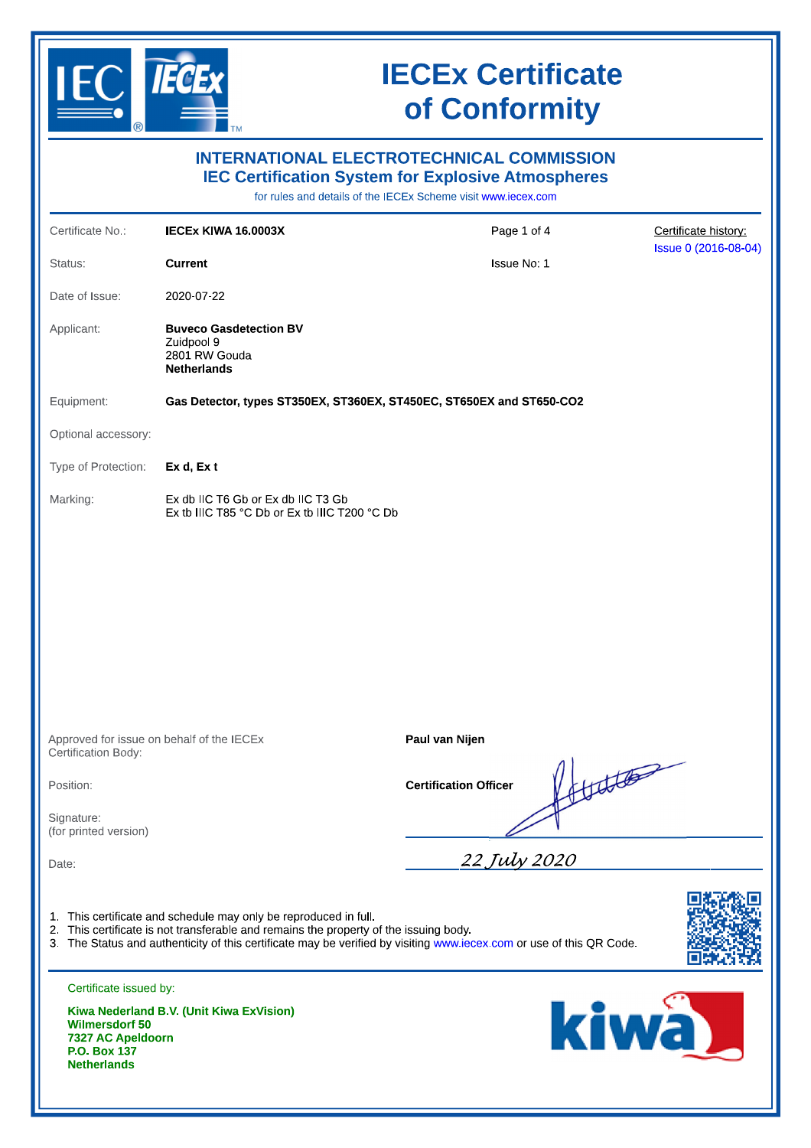

# **IECEx Certificate** of Conformity

| <b>INTERNATIONAL ELECTROTECHNICAL COMMISSION</b><br><b>IEC Certification System for Explosive Atmospheres</b><br>for rules and details of the IECEx Scheme visit www.iecex.com |                                                                                                                                                                                                                                                                                   |                              |               |                      |  |
|--------------------------------------------------------------------------------------------------------------------------------------------------------------------------------|-----------------------------------------------------------------------------------------------------------------------------------------------------------------------------------------------------------------------------------------------------------------------------------|------------------------------|---------------|----------------------|--|
| Certificate No.:                                                                                                                                                               | IECEX KIWA 16.0003X                                                                                                                                                                                                                                                               | Page 1 of 4                  |               | Certificate history  |  |
| Status:                                                                                                                                                                        | <b>Current</b>                                                                                                                                                                                                                                                                    | Issue No: 1                  |               | Issue 0 (2016-08-04) |  |
| Date of Issue:                                                                                                                                                                 | 2020-07-22                                                                                                                                                                                                                                                                        |                              |               |                      |  |
| Applicant:                                                                                                                                                                     | <b>Buveco Gasdetection BV</b><br>Zuidpool 9<br>2801 RW Gouda<br><b>Netherlands</b>                                                                                                                                                                                                |                              |               |                      |  |
| Equipment:                                                                                                                                                                     | Gas Detector, types ST350EX, ST360EX, ST450EC, ST650EX and ST650-CO2                                                                                                                                                                                                              |                              |               |                      |  |
| Optional accessory:                                                                                                                                                            |                                                                                                                                                                                                                                                                                   |                              |               |                      |  |
| Type of Protection:                                                                                                                                                            | Ex d, Ex t                                                                                                                                                                                                                                                                        |                              |               |                      |  |
| Marking:                                                                                                                                                                       | Ex db IIC T6 Gb or Ex db IIC T3 Gb<br>Ex tb IIIC T85 °C Db or Ex tb IIIC T200 °C Db                                                                                                                                                                                               |                              |               |                      |  |
|                                                                                                                                                                                |                                                                                                                                                                                                                                                                                   |                              |               |                      |  |
| Approved for issue on behalf of the IECEx<br>Certification Body:                                                                                                               |                                                                                                                                                                                                                                                                                   | Paul van Nijen               |               |                      |  |
| Position:                                                                                                                                                                      |                                                                                                                                                                                                                                                                                   | <b>Certification Officer</b> | 1/111/10      |                      |  |
| Signature:<br>(for printed version)                                                                                                                                            |                                                                                                                                                                                                                                                                                   |                              |               |                      |  |
| Date:                                                                                                                                                                          |                                                                                                                                                                                                                                                                                   | 22 July 2020                 |               |                      |  |
|                                                                                                                                                                                | 1. This certificate and schedule may only be reproduced in full.<br>2. This certificate is not transferable and remains the property of the issuing body.<br>3. The Status and authenticity of this certificate may be verified by visiting www.iecex.com or use of this QR Code. |                              |               |                      |  |
| Certificate issued by:<br><b>Wilmersdorf 50</b><br>7327 AC Apeldoorn<br>P.O. Box 137<br><b>Netherlands</b>                                                                     | Kiwa Nederland B.V. (Unit Kiwa ExVision)                                                                                                                                                                                                                                          |                              | kiwa <b>k</b> |                      |  |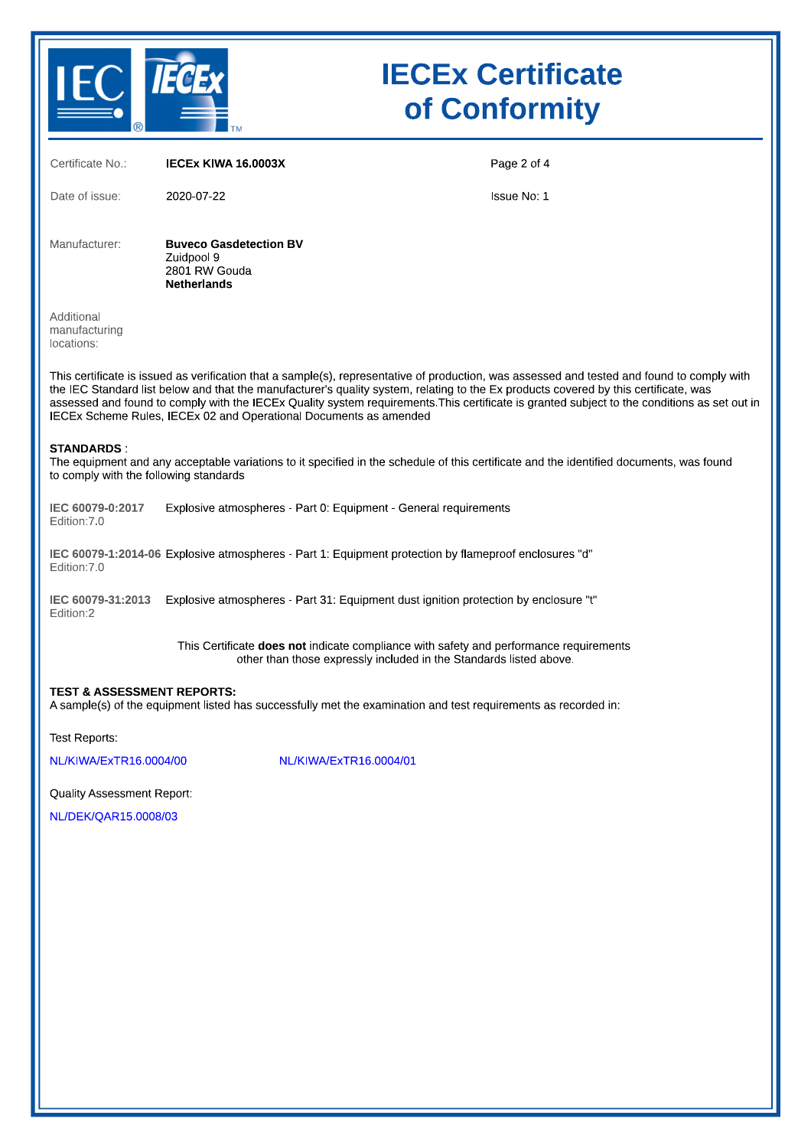

# **IECEx Certificate** of Conformity

| Certificate No.:                                                                                                                                                                                                                                                                                                                                                                                                                                                                                         | <b>IECEX KIWA 16.0003X</b>                                                                                                                                   | Page 2 of 4 |  |  |  |
|----------------------------------------------------------------------------------------------------------------------------------------------------------------------------------------------------------------------------------------------------------------------------------------------------------------------------------------------------------------------------------------------------------------------------------------------------------------------------------------------------------|--------------------------------------------------------------------------------------------------------------------------------------------------------------|-------------|--|--|--|
| Date of issue:                                                                                                                                                                                                                                                                                                                                                                                                                                                                                           | 2020-07-22                                                                                                                                                   | Issue No: 1 |  |  |  |
| Manufacturer:                                                                                                                                                                                                                                                                                                                                                                                                                                                                                            | <b>Buveco Gasdetection BV</b><br>Zuidpool 9<br>2801 RW Gouda<br><b>Netherlands</b>                                                                           |             |  |  |  |
| Additional<br>manufacturing<br>locations:                                                                                                                                                                                                                                                                                                                                                                                                                                                                |                                                                                                                                                              |             |  |  |  |
| This certificate is issued as verification that a sample(s), representative of production, was assessed and tested and found to comply with<br>the IEC Standard list below and that the manufacturer's quality system, relating to the Ex products covered by this certificate, was<br>assessed and found to comply with the IECEx Quality system requirements. This certificate is granted subject to the conditions as set out in<br>IECEx Scheme Rules, IECEx 02 and Operational Documents as amended |                                                                                                                                                              |             |  |  |  |
| <b>STANDARDS:</b><br>The equipment and any acceptable variations to it specified in the schedule of this certificate and the identified documents, was found<br>to comply with the following standards                                                                                                                                                                                                                                                                                                   |                                                                                                                                                              |             |  |  |  |
| IEC 60079-0:2017<br>Edition: 7.0                                                                                                                                                                                                                                                                                                                                                                                                                                                                         | Explosive atmospheres - Part 0: Equipment - General requirements                                                                                             |             |  |  |  |
| "IEC 60079-1:2014-06 Explosive atmospheres - Part 1: Equipment protection by flameproof enclosures "d<br>Edition: 7.0                                                                                                                                                                                                                                                                                                                                                                                    |                                                                                                                                                              |             |  |  |  |
| IEC 60079-31:2013<br>Edition:2                                                                                                                                                                                                                                                                                                                                                                                                                                                                           | Explosive atmospheres - Part 31: Equipment dust ignition protection by enclosure "t"                                                                         |             |  |  |  |
|                                                                                                                                                                                                                                                                                                                                                                                                                                                                                                          | This Certificate does not indicate compliance with safety and performance requirements<br>other than those expressly included in the Standards listed above. |             |  |  |  |
| <b>TEST &amp; ASSESSMENT REPORTS:</b><br>A sample(s) of the equipment listed has successfully met the examination and test requirements as recorded in:                                                                                                                                                                                                                                                                                                                                                  |                                                                                                                                                              |             |  |  |  |
| Test Reports:                                                                                                                                                                                                                                                                                                                                                                                                                                                                                            |                                                                                                                                                              |             |  |  |  |
| NL/KIWA/ExTR16.0004/00                                                                                                                                                                                                                                                                                                                                                                                                                                                                                   | NL/KIWA/ExTR16.0004/01                                                                                                                                       |             |  |  |  |
| <b>Quality Assessment Report:</b>                                                                                                                                                                                                                                                                                                                                                                                                                                                                        |                                                                                                                                                              |             |  |  |  |
| NL/DEK/OAR15.0008/03                                                                                                                                                                                                                                                                                                                                                                                                                                                                                     |                                                                                                                                                              |             |  |  |  |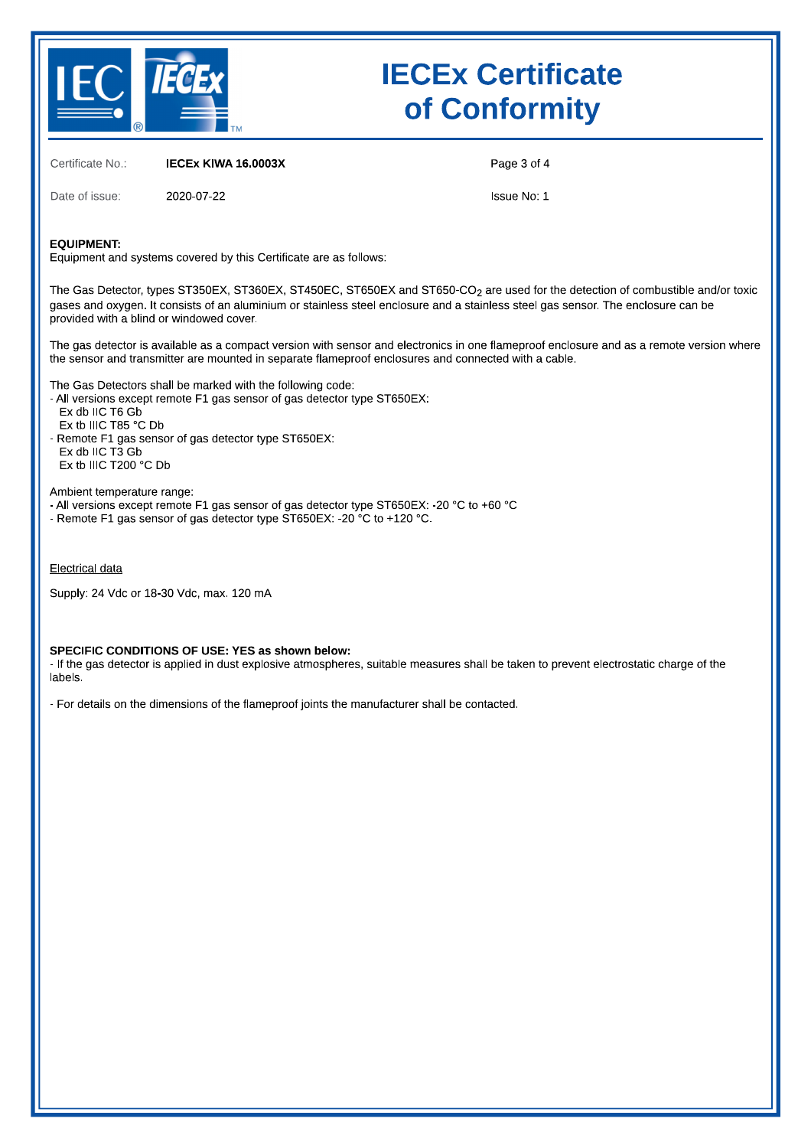

# **IECEX CERTIFICATE** of Conformity

Certificate No.: **IECEX KIWA 16.0003X** 

Of Conformity<br>
Certificate No.: IECEX KIWA 16.0003X Page 3 of 4<br>
Date of issue: 2020-07-22<br>
EQUIPMENT:<br>
Equipment and systems covered by this Certificate are as follows:<br>
The Gas Detector, types ST350EX, ST360EX, ST450EC, Date of issue:<br>
EQUIPMENT:<br>
EQUIPMENT:<br>
Equipment and systems covered by this Certificate are as follows:<br>
The Gas Detector, types ST350EX, ST360EX, ST450EC, ST650EX and ST650-CO<sub>2</sub> are used for the detection of combustibl

#### Electrical data

Supply: 24 Vdc or 18-30 Vdc, max. 120 mA

### SPECIFIC CONDITIONS OF USE:  $YES$  as shown below:

Electrical data<br>
Supply: 24 Vdc or 18-30 Vdc, max. 120 mA<br>
SPECIFIC CONDITIONS OF USE: YES as shown below:<br>
- If the gas detector is applied in dust explosive atmospheres, suitable measures shall be taken to prevent electr